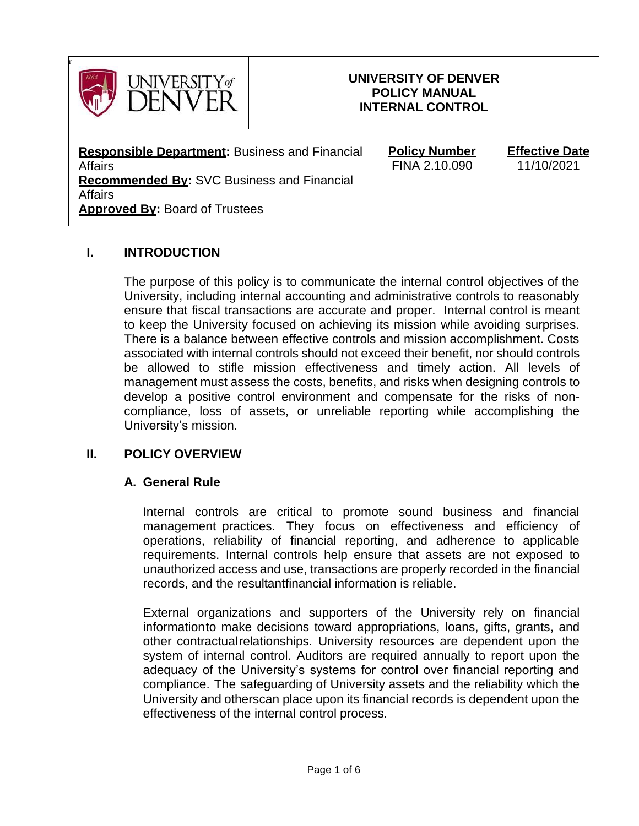

#### **I. INTRODUCTION**

The purpose of this policy is to communicate the internal control objectives of the University, including internal accounting and administrative controls to reasonably ensure that fiscal transactions are accurate and proper. Internal control is meant to keep the University focused on achieving its mission while avoiding surprises. There is a balance between effective controls and mission accomplishment. Costs associated with internal controls should not exceed their benefit, nor should controls be allowed to stifle mission effectiveness and timely action. All levels of management must assess the costs, benefits, and risks when designing controls to develop a positive control environment and compensate for the risks of noncompliance, loss of assets, or unreliable reporting while accomplishing the University's mission.

#### **II. POLICY OVERVIEW**

#### **A. General Rule**

Internal controls are critical to promote sound business and financial management practices. They focus on effectiveness and efficiency of operations, reliability of financial reporting, and adherence to applicable requirements. Internal controls help ensure that assets are not exposed to unauthorized access and use, transactions are properly recorded in the financial records, and the resultantfinancial information is reliable.

External organizations and supporters of the University rely on financial informationto make decisions toward appropriations, loans, gifts, grants, and other contractualrelationships. University resources are dependent upon the system of internal control. Auditors are required annually to report upon the adequacy of the University's systems for control over financial reporting and compliance. The safeguarding of University assets and the reliability which the University and otherscan place upon its financial records is dependent upon the effectiveness of the internal control process.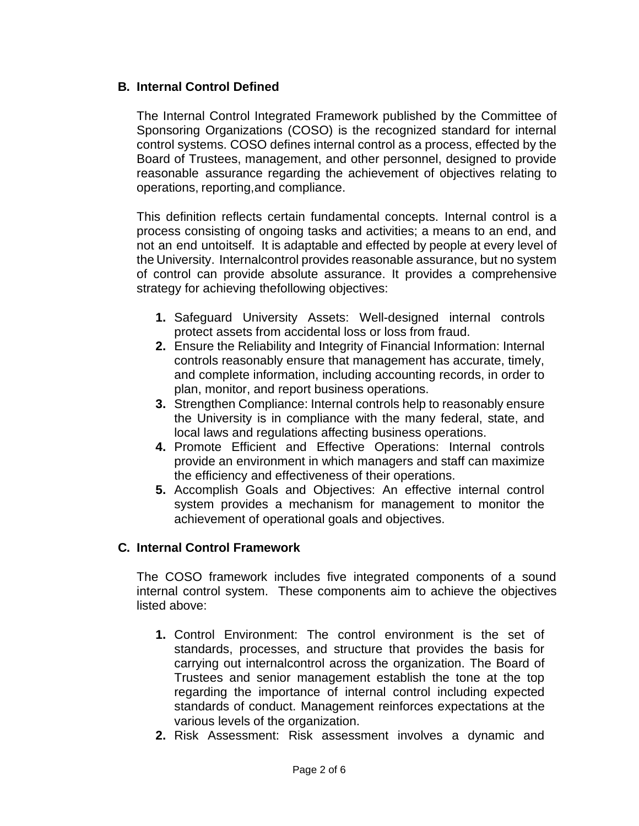#### **B. Internal Control Defined**

The Internal Control Integrated Framework published by the Committee of Sponsoring Organizations (COSO) is the recognized standard for internal control systems. COSO defines internal control as a process, effected by the Board of Trustees, management, and other personnel, designed to provide reasonable assurance regarding the achievement of objectives relating to operations, reporting,and compliance.

This definition reflects certain fundamental concepts. Internal control is a process consisting of ongoing tasks and activities; a means to an end, and not an end untoitself. It is adaptable and effected by people at every level of the University. Internalcontrol provides reasonable assurance, but no system of control can provide absolute assurance. It provides a comprehensive strategy for achieving thefollowing objectives:

- **1.** Safeguard University Assets: Well-designed internal controls protect assets from accidental loss or loss from fraud.
- **2.** Ensure the Reliability and Integrity of Financial Information: Internal controls reasonably ensure that management has accurate, timely, and complete information, including accounting records, in order to plan, monitor, and report business operations.
- **3.** Strengthen Compliance: Internal controls help to reasonably ensure the University is in compliance with the many federal, state, and local laws and regulations affecting business operations.
- **4.** Promote Efficient and Effective Operations: Internal controls provide an environment in which managers and staff can maximize the efficiency and effectiveness of their operations.
- **5.** Accomplish Goals and Objectives: An effective internal control system provides a mechanism for management to monitor the achievement of operational goals and objectives.

## **C. Internal Control Framework**

The COSO framework includes five integrated components of a sound internal control system. These components aim to achieve the objectives listed above:

- **1.** Control Environment: The control environment is the set of standards, processes, and structure that provides the basis for carrying out internalcontrol across the organization. The Board of Trustees and senior management establish the tone at the top regarding the importance of internal control including expected standards of conduct. Management reinforces expectations at the various levels of the organization.
- **2.** Risk Assessment: Risk assessment involves a dynamic and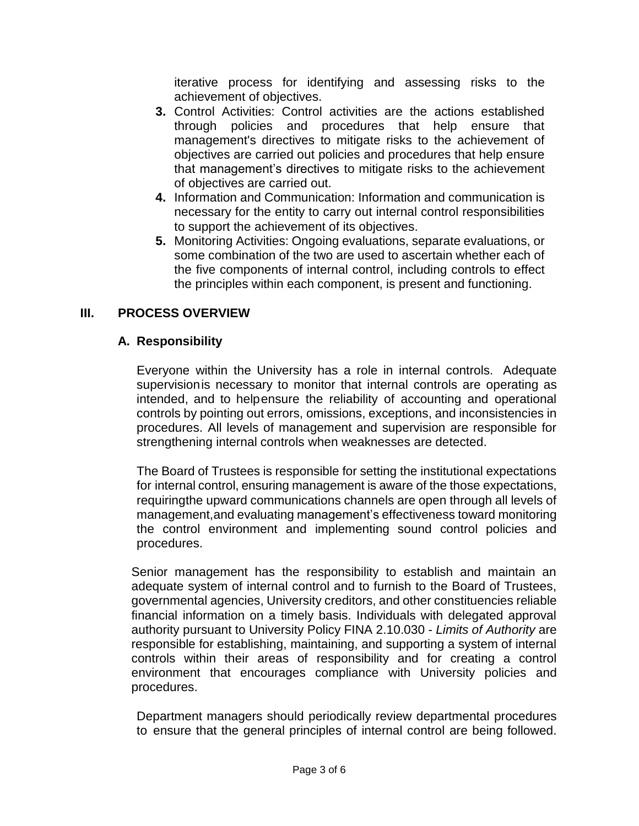iterative process for identifying and assessing risks to the achievement of objectives.

- **3.** Control Activities: Control activities are the actions established through policies and procedures that help ensure that management's directives to mitigate risks to the achievement of objectives are carried out policies and procedures that help ensure that management's directives to mitigate risks to the achievement of objectives are carried out.
- **4.** Information and Communication: Information and communication is necessary for the entity to carry out internal control responsibilities to support the achievement of its objectives.
- **5.** Monitoring Activities: Ongoing evaluations, separate evaluations, or some combination of the two are used to ascertain whether each of the five components of internal control, including controls to effect the principles within each component, is present and functioning.

## **III. PROCESS OVERVIEW**

## **A. Responsibility**

Everyone within the University has a role in internal controls. Adequate supervisionis necessary to monitor that internal controls are operating as intended, and to helpensure the reliability of accounting and operational controls by pointing out errors, omissions, exceptions, and inconsistencies in procedures. All levels of management and supervision are responsible for strengthening internal controls when weaknesses are detected.

The Board of Trustees is responsible for setting the institutional expectations for internal control, ensuring management is aware of the those expectations, requiringthe upward communications channels are open through all levels of management,and evaluating management's effectiveness toward monitoring the control environment and implementing sound control policies and procedures.

Senior management has the responsibility to establish and maintain an adequate system of internal control and to furnish to the Board of Trustees, governmental agencies, University creditors, and other constituencies reliable financial information on a timely basis. Individuals with delegated approval authority pursuant to University Policy FINA 2.10.030 - *Limits of Authority* are responsible for establishing, maintaining, and supporting a system of internal controls within their areas of responsibility and for creating a control environment that encourages compliance with University policies and procedures.

Department managers should periodically review departmental procedures to ensure that the general principles of internal control are being followed.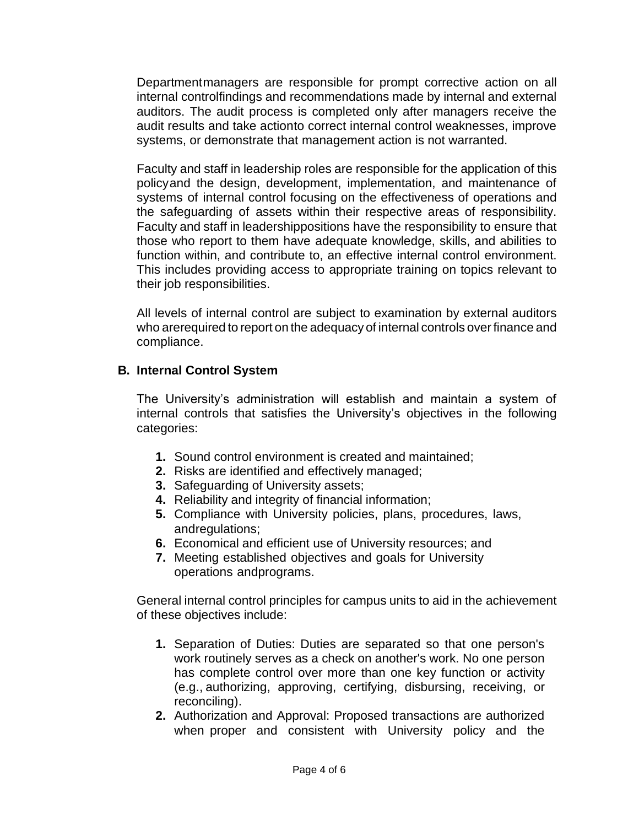Departmentmanagers are responsible for prompt corrective action on all internal controlfindings and recommendations made by internal and external auditors. The audit process is completed only after managers receive the audit results and take actionto correct internal control weaknesses, improve systems, or demonstrate that management action is not warranted.

Faculty and staff in leadership roles are responsible for the application of this policyand the design, development, implementation, and maintenance of systems of internal control focusing on the effectiveness of operations and the safeguarding of assets within their respective areas of responsibility. Faculty and staff in leadershippositions have the responsibility to ensure that those who report to them have adequate knowledge, skills, and abilities to function within, and contribute to, an effective internal control environment. This includes providing access to appropriate training on topics relevant to their job responsibilities.

All levels of internal control are subject to examination by external auditors who arerequired to report on the adequacy of internal controls overfinance and compliance.

#### **B. Internal Control System**

The University's administration will establish and maintain a system of internal controls that satisfies the University's objectives in the following categories:

- **1.** Sound control environment is created and maintained;
- **2.** Risks are identified and effectively managed;
- **3.** Safeguarding of University assets;
- **4.** Reliability and integrity of financial information;
- **5.** Compliance with University policies, plans, procedures, laws, andregulations;
- **6.** Economical and efficient use of University resources; and
- **7.** Meeting established objectives and goals for University operations andprograms.

General internal control principles for campus units to aid in the achievement of these objectives include:

- **1.** Separation of Duties: Duties are separated so that one person's work routinely serves as a check on another's work. No one person has complete control over more than one key function or activity (e.g., authorizing, approving, certifying, disbursing, receiving, or reconciling).
- **2.** Authorization and Approval: Proposed transactions are authorized when proper and consistent with University policy and the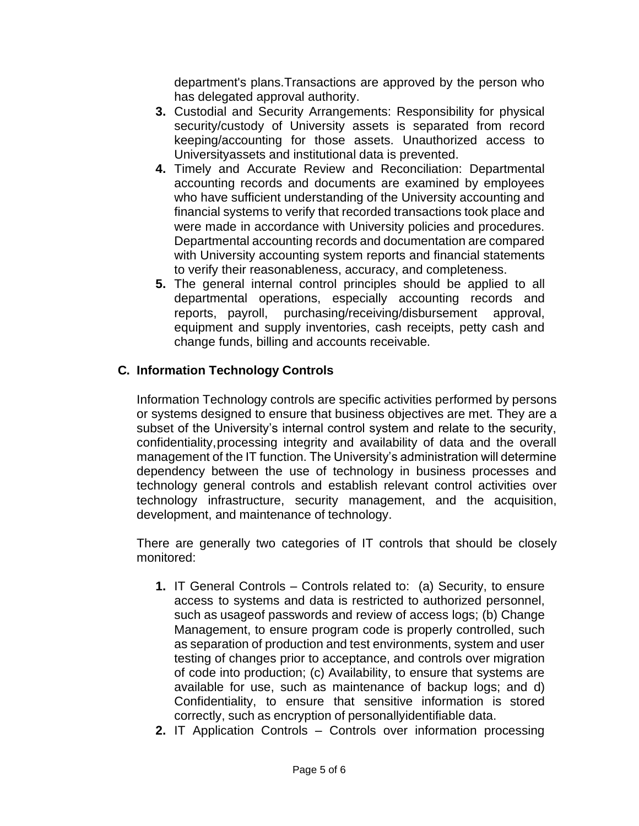department's plans.Transactions are approved by the person who has delegated approval authority.

- **3.** Custodial and Security Arrangements: Responsibility for physical security/custody of University assets is separated from record keeping/accounting for those assets. Unauthorized access to Universityassets and institutional data is prevented.
- **4.** Timely and Accurate Review and Reconciliation: Departmental accounting records and documents are examined by employees who have sufficient understanding of the University accounting and financial systems to verify that recorded transactions took place and were made in accordance with University policies and procedures. Departmental accounting records and documentation are compared with University accounting system reports and financial statements to verify their reasonableness, accuracy, and completeness.
- **5.** The general internal control principles should be applied to all departmental operations, especially accounting records and reports, payroll, purchasing/receiving/disbursement approval, equipment and supply inventories, cash receipts, petty cash and change funds, billing and accounts receivable.

# **C. Information Technology Controls**

Information Technology controls are specific activities performed by persons or systems designed to ensure that business objectives are met. They are a subset of the University's internal control system and relate to the security, confidentiality,processing integrity and availability of data and the overall management of the IT function. The University's administration will determine dependency between the use of technology in business processes and technology general controls and establish relevant control activities over technology infrastructure, security management, and the acquisition, development, and maintenance of technology.

There are generally two categories of IT controls that should be closely monitored:

- **1.** IT General Controls Controls related to: (a) Security, to ensure access to systems and data is restricted to authorized personnel, such as usageof passwords and review of access logs; (b) Change Management, to ensure program code is properly controlled, such as separation of production and test environments, system and user testing of changes prior to acceptance, and controls over migration of code into production; (c) Availability, to ensure that systems are available for use, such as maintenance of backup logs; and d) Confidentiality, to ensure that sensitive information is stored correctly, such as encryption of personallyidentifiable data.
- **2.** IT Application Controls Controls over information processing